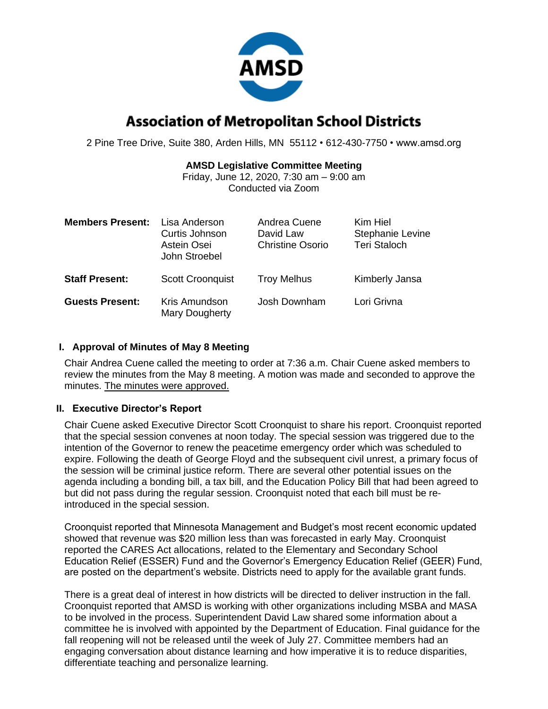

# **Association of Metropolitan School Districts**

2 Pine Tree Drive, Suite 380, Arden Hills, MN 55112 • 612-430-7750 • www.amsd.org

### **AMSD Legislative Committee Meeting**

Friday, June 12, 2020, 7:30 am – 9:00 am Conducted via Zoom

| <b>Members Present:</b> | Lisa Anderson<br>Curtis Johnson<br>Astein Osei<br>John Stroebel | Andrea Cuene<br>David Law<br><b>Christine Osorio</b> | Kim Hiel<br>Stephanie Levine<br><b>Teri Staloch</b> |
|-------------------------|-----------------------------------------------------------------|------------------------------------------------------|-----------------------------------------------------|
| <b>Staff Present:</b>   | <b>Scott Croonquist</b>                                         | <b>Troy Melhus</b>                                   | Kimberly Jansa                                      |
| <b>Guests Present:</b>  | Kris Amundson<br>Mary Dougherty                                 | Josh Downham                                         | Lori Grivna                                         |

## **I. Approval of Minutes of May 8 Meeting**

Chair Andrea Cuene called the meeting to order at 7:36 a.m. Chair Cuene asked members to review the minutes from the May 8 meeting. A motion was made and seconded to approve the minutes. The minutes were approved.

# **II. Executive Director's Report**

Chair Cuene asked Executive Director Scott Croonquist to share his report. Croonquist reported that the special session convenes at noon today. The special session was triggered due to the intention of the Governor to renew the peacetime emergency order which was scheduled to expire. Following the death of George Floyd and the subsequent civil unrest, a primary focus of the session will be criminal justice reform. There are several other potential issues on the agenda including a bonding bill, a tax bill, and the Education Policy Bill that had been agreed to but did not pass during the regular session. Croonquist noted that each bill must be reintroduced in the special session.

Croonquist reported that Minnesota Management and Budget's most recent economic updated showed that revenue was \$20 million less than was forecasted in early May. Croonquist reported the CARES Act allocations, related to the Elementary and Secondary School Education Relief (ESSER) Fund and the Governor's Emergency Education Relief (GEER) Fund, are posted on the department's website. Districts need to apply for the available grant funds.

There is a great deal of interest in how districts will be directed to deliver instruction in the fall. Croonquist reported that AMSD is working with other organizations including MSBA and MASA to be involved in the process. Superintendent David Law shared some information about a committee he is involved with appointed by the Department of Education. Final guidance for the fall reopening will not be released until the week of July 27. Committee members had an engaging conversation about distance learning and how imperative it is to reduce disparities, differentiate teaching and personalize learning.